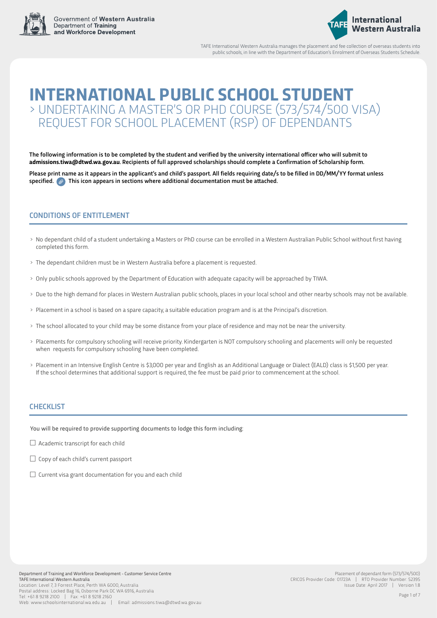



TAFE International Western Australia manages the placement and fee collection of overseas students into public schools, in line with the Department of Education's Enrolment of Overseas Students Schedule.

# **INTERNATIONAL PUBLIC SCHOOL STUDENT** > UNDERTAKING A MASTER'S OR PHD COURSE (573/574/500 VISA) REQUEST FOR SCHOOL PLACEMENT (RSP) OF DEPENDANTS

The following information is to be completed by the student and verified by the university international officer who will submit to **admissions.tiwa@dtwd.wa.gov.au**. Recipients of full approved scholarships should complete a Confirmation of Scholarship form.

Please print name as it appears in the applicant's and child's passport. All fields requiring date/s to be filled in DD/MM/YY format unless specified.  $\oslash$  This icon appears in sections where additional documentation must be attached.

### CONDITIONS OF ENTITI EMENT

- > No dependant child of a student undertaking a Masters or PhD course can be enrolled in a Western Australian Public School without first having completed this form.
- > The dependant children must be in Western Australia before a placement is requested.
- > Only public schools approved by the Department of Education with adequate capacity will be approached by TIWA.
- > Due to the high demand for places in Western Australian public schools, places in your local school and other nearby schools may not be available.
- > Placement in a school is based on a spare capacity, a suitable education program and is at the Principal's discretion.
- > The school allocated to your child may be some distance from your place of residence and may not be near the university.
- > Placements for compulsory schooling will receive priority. Kindergarten is NOT compulsory schooling and placements will only be requested when requests for compulsory schooling have been completed.
- > Placement in an Intensive English Centre is \$3,000 per year and English as an Additional Language or Dialect (EALD) class is \$1,500 per year. If the school determines that additional support is required, the fee must be paid prior to commencement at the school.

#### CHECKLIST

You will be required to provide supporting documents to lodge this form including:

- $\Box$  Academic transcript for each child
- $\Box$  Copy of each child's current passport
- $\Box$  Current visa grant documentation for you and each child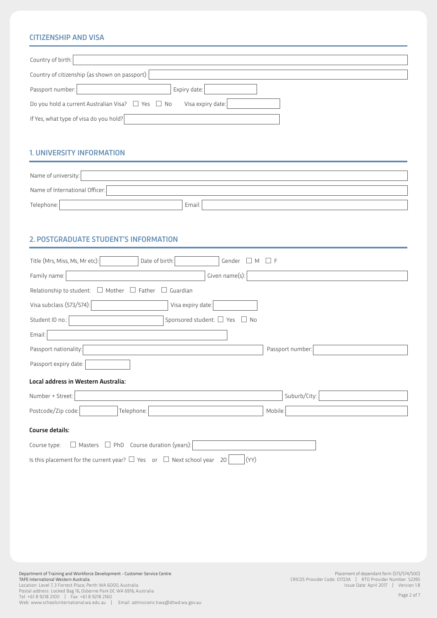### **CITIZENSHIP AND VISA**

| Country of birth:                                                                |              |  |  |
|----------------------------------------------------------------------------------|--------------|--|--|
| Country of citizenship (as shown on passport):                                   |              |  |  |
| Passport number:                                                                 | Expiry date: |  |  |
| Do you hold a current Australian Visa? $\Box$ Yes $\Box$ No<br>Visa expiry date: |              |  |  |
| If Yes, what type of visa do you hold?                                           |              |  |  |

### **1. UNIVERSITY INFORMATION**

| Name of university:            |        |
|--------------------------------|--------|
| Name of International Officer: |        |
| Telephone:                     | Email: |

### 2. POSTGRADUATE STUDENT'S INFORMATION

| Gender $\square$ M $\square$ F<br>Title (Mrs, Miss, Ms, Mr etc):<br>Date of birth:       |                  |  |  |  |
|------------------------------------------------------------------------------------------|------------------|--|--|--|
| Given name(s):<br>Family name:                                                           |                  |  |  |  |
| Relationship to student: $\Box$ Mother<br>$\Box$ Father<br>$\Box$ Guardian               |                  |  |  |  |
| Visa subclass (573/574):<br>Visa expiry date:                                            |                  |  |  |  |
| Sponsored student: $\Box$ Yes $\Box$ No<br>Student ID no.:                               |                  |  |  |  |
| Email:                                                                                   |                  |  |  |  |
| Passport nationality:                                                                    | Passport number: |  |  |  |
| Passport expiry date:                                                                    |                  |  |  |  |
| Local address in Western Australia:                                                      |                  |  |  |  |
| Number + Street:                                                                         | Suburb/City:     |  |  |  |
| Postcode/Zip code:<br>Telephone:                                                         | Mobile:          |  |  |  |
| Course details:                                                                          |                  |  |  |  |
| $\Box$ Masters $\Box$ PhD Course duration (years):<br>Course type:                       |                  |  |  |  |
| Is this placement for the current year? $\Box$ Yes or $\Box$ Next school year 20<br>(YY) |                  |  |  |  |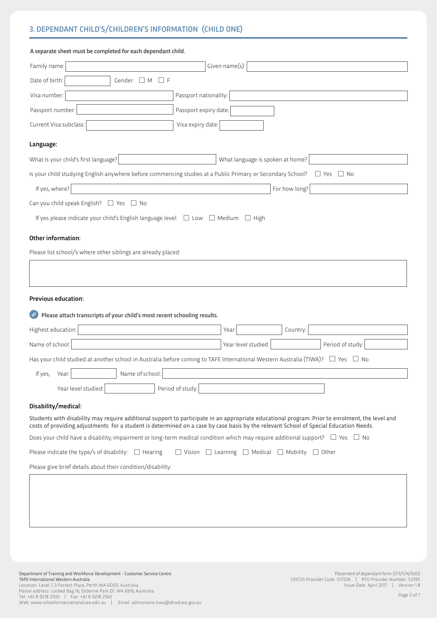# 3. DEPENDANT CHILD'S/CHILDREN'S INFORMATION (CHILD ONE)

| A separate sheet must be completed for each dependant child.                                                                                                                                                                                                                             |                                                                           |                         |
|------------------------------------------------------------------------------------------------------------------------------------------------------------------------------------------------------------------------------------------------------------------------------------------|---------------------------------------------------------------------------|-------------------------|
| Family name:                                                                                                                                                                                                                                                                             | Given name(s):                                                            |                         |
| Date of birth:<br>$\Box$ M<br>$\Box$ F<br>Gender                                                                                                                                                                                                                                         |                                                                           |                         |
| Visa number:<br>Passport nationality:                                                                                                                                                                                                                                                    |                                                                           |                         |
| Passport number:<br>Passport expiry date:                                                                                                                                                                                                                                                |                                                                           |                         |
| Current Visa subclass:<br>Visa expiry date:                                                                                                                                                                                                                                              |                                                                           |                         |
| Language:                                                                                                                                                                                                                                                                                |                                                                           |                         |
| What is your child's first language?                                                                                                                                                                                                                                                     | What language is spoken at home?                                          |                         |
| Is your child studying English anywhere before commencing studies at a Public Primary or Secondary School?                                                                                                                                                                               |                                                                           | $\Box$ No<br>$\Box$ Yes |
| If yes, where?                                                                                                                                                                                                                                                                           | For how long?                                                             |                         |
| Can you child speak English? $\Box$ Yes $\Box$ No                                                                                                                                                                                                                                        |                                                                           |                         |
| If yes please indicate your child's English language level: $\Box$ Low $\Box$ Medium $\Box$ High                                                                                                                                                                                         |                                                                           |                         |
| Please list school/s where other siblings are already placed:<br><b>Previous education:</b>                                                                                                                                                                                              |                                                                           |                         |
| Please attach transcripts of your child's most recent schooling results.                                                                                                                                                                                                                 |                                                                           |                         |
| Highest education:                                                                                                                                                                                                                                                                       | Country:<br>Year:                                                         |                         |
| Name of school:                                                                                                                                                                                                                                                                          | Year level studied:                                                       | Period of study:        |
| Has your child studied at another school in Australia before coming to TAFE International Western Australia (TIWA)?<br>Name of school:<br>If yes,<br>Year:                                                                                                                               |                                                                           | $\Box$ No<br>$\Box$ Yes |
| Period of study:<br>Year level studied:                                                                                                                                                                                                                                                  |                                                                           |                         |
| Disability/medical:                                                                                                                                                                                                                                                                      |                                                                           |                         |
| Students with disability may require additional support to participate in an appropriate educational program. Prior to enrolment, the level and<br>costs of providing adjustments for a student is determined on a case by case basis by the relevant School of Special Education Needs. |                                                                           |                         |
| Does your child have a disability, impairment or long-term medical condition which may require additional support? $\Box$ Yes $\Box$ No                                                                                                                                                  |                                                                           |                         |
| Please indicate the type/s of disability: $\Box$ Hearing                                                                                                                                                                                                                                 | $\Box$ Vision $\Box$ Learning $\Box$ Medical $\Box$ Mobility $\Box$ Other |                         |
| Please give brief details about their condition/disability:                                                                                                                                                                                                                              |                                                                           |                         |

in the contract of the contract of the contract of the contract of the contract of the contract of the contract of

in the contract of the contract of the contract of the contract of the contract of the contract of the contract of

in the contract of the contract of the contract of the contract of the contract of the contract of the contract of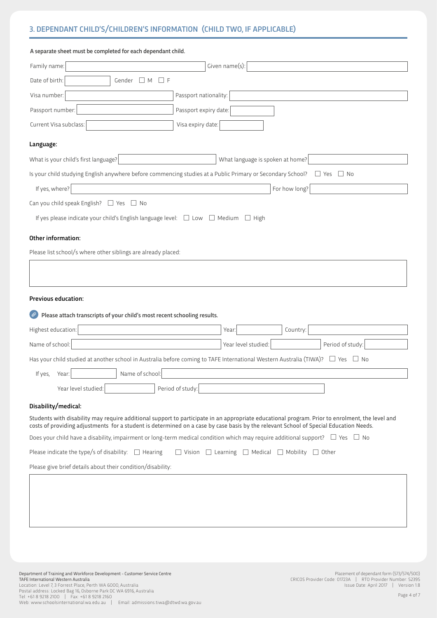# 3. DEPENDANT CHILD'S/CHILDREN'S INFORMATION (CHILD TWO, IF APPLICABLE)

| A separate sheet must be completed for each dependant child.                                               |                                                                                                                                                                                                                                                                                          |  |  |  |
|------------------------------------------------------------------------------------------------------------|------------------------------------------------------------------------------------------------------------------------------------------------------------------------------------------------------------------------------------------------------------------------------------------|--|--|--|
| Family name:                                                                                               | Given name(s):                                                                                                                                                                                                                                                                           |  |  |  |
| Date of birth:<br>Gender $\Box$ M<br>$\sqcup$ F                                                            |                                                                                                                                                                                                                                                                                          |  |  |  |
| Visa number:                                                                                               | Passport nationality:                                                                                                                                                                                                                                                                    |  |  |  |
| Passport number:                                                                                           | Passport expiry date:                                                                                                                                                                                                                                                                    |  |  |  |
| Current Visa subclass:                                                                                     | Visa expiry date:                                                                                                                                                                                                                                                                        |  |  |  |
| Language:                                                                                                  |                                                                                                                                                                                                                                                                                          |  |  |  |
| What is your child's first language?                                                                       | What language is spoken at home?                                                                                                                                                                                                                                                         |  |  |  |
| Is your child studying English anywhere before commencing studies at a Public Primary or Secondary School? | $\Box$ Yes<br>$\Box$ No                                                                                                                                                                                                                                                                  |  |  |  |
| If yes, where?                                                                                             | For how long?                                                                                                                                                                                                                                                                            |  |  |  |
| Can you child speak English? $\Box$ Yes $\Box$ No                                                          |                                                                                                                                                                                                                                                                                          |  |  |  |
| If yes please indicate your child's English language level: $\Box$ Low $\Box$ Medium $\Box$ High           |                                                                                                                                                                                                                                                                                          |  |  |  |
| Please list school/s where other siblings are already placed:                                              |                                                                                                                                                                                                                                                                                          |  |  |  |
| <b>Previous education:</b>                                                                                 |                                                                                                                                                                                                                                                                                          |  |  |  |
| Please attach transcripts of your child's most recent schooling results.                                   |                                                                                                                                                                                                                                                                                          |  |  |  |
| Highest education:                                                                                         | Country:<br>Year:                                                                                                                                                                                                                                                                        |  |  |  |
| Name of school:                                                                                            | Year level studied:<br>Period of study:                                                                                                                                                                                                                                                  |  |  |  |
|                                                                                                            | Has your child studied at another school in Australia before coming to TAFE International Western Australia (TIWA)? $\Box$ Yes $\Box$ No                                                                                                                                                 |  |  |  |
| Name of school:<br>If yes, Year:                                                                           |                                                                                                                                                                                                                                                                                          |  |  |  |
| Period of study:<br>Year level studied:                                                                    |                                                                                                                                                                                                                                                                                          |  |  |  |
| Disability/medical:                                                                                        |                                                                                                                                                                                                                                                                                          |  |  |  |
|                                                                                                            | Students with disability may require additional support to participate in an appropriate educational program. Prior to enrolment, the level and<br>costs of providing adjustments for a student is determined on a case by case basis by the relevant School of Special Education Needs. |  |  |  |
|                                                                                                            | Does your child have a disability, impairment or long-term medical condition which may require additional support? $\Box$ Yes $\Box$ No                                                                                                                                                  |  |  |  |
| Please indicate the type/s of disability: $\Box$ Hearing                                                   | $\Box$ Vision $\Box$ Learning $\Box$ Medical $\Box$ Mobility $\Box$ Other                                                                                                                                                                                                                |  |  |  |
| Please give brief details about their condition/disability:                                                |                                                                                                                                                                                                                                                                                          |  |  |  |

in the contract of the contract of the contract of the contract of the contract of the contract of the contract of

in the contract of the contract of the contract of the contract of the contract of the contract of the contract of

in the contract of the contract of the contract of the contract of the contract of the contract of the contract of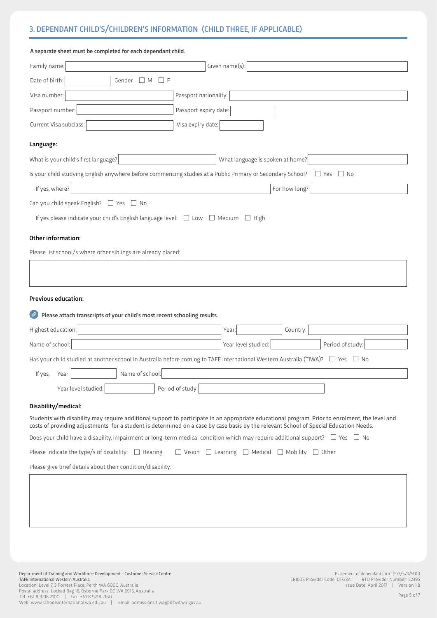# 3. DEPENDANT CHILD'S/CHILDREN'S INFORMATION (CHILD THREE, IF APPLICABLE)

| A separate sheet must be completed for each dependant child.                                                                                                                                                                                                                             |                                                                           |                         |  |  |
|------------------------------------------------------------------------------------------------------------------------------------------------------------------------------------------------------------------------------------------------------------------------------------------|---------------------------------------------------------------------------|-------------------------|--|--|
| Family name:<br>Given name(s):                                                                                                                                                                                                                                                           |                                                                           |                         |  |  |
| Date of birth:<br>$\Box$ M<br>$\Box$ F<br>Gender                                                                                                                                                                                                                                         |                                                                           |                         |  |  |
| Visa number:<br>Passport nationality:                                                                                                                                                                                                                                                    |                                                                           |                         |  |  |
| Passport number:<br>Passport expiry date:                                                                                                                                                                                                                                                |                                                                           |                         |  |  |
| Current Visa subclass:<br>Visa expiry date:                                                                                                                                                                                                                                              |                                                                           |                         |  |  |
| Language:                                                                                                                                                                                                                                                                                |                                                                           |                         |  |  |
| What is your child's first language?                                                                                                                                                                                                                                                     | What language is spoken at home?                                          |                         |  |  |
| Is your child studying English anywhere before commencing studies at a Public Primary or Secondary School?                                                                                                                                                                               |                                                                           | $\Box$ No<br>$\Box$ Yes |  |  |
| If yes, where?                                                                                                                                                                                                                                                                           | For how long?                                                             |                         |  |  |
| Can you child speak English? $\Box$ Yes $\Box$ No                                                                                                                                                                                                                                        |                                                                           |                         |  |  |
| If yes please indicate your child's English language level: $\Box$ Low $\Box$ Medium $\Box$ High                                                                                                                                                                                         |                                                                           |                         |  |  |
| Other information:                                                                                                                                                                                                                                                                       |                                                                           |                         |  |  |
| Please list school/s where other siblings are already placed:                                                                                                                                                                                                                            |                                                                           |                         |  |  |
|                                                                                                                                                                                                                                                                                          |                                                                           |                         |  |  |
|                                                                                                                                                                                                                                                                                          |                                                                           |                         |  |  |
| <b>Previous education:</b>                                                                                                                                                                                                                                                               |                                                                           |                         |  |  |
| Please attach transcripts of your child's most recent schooling results.                                                                                                                                                                                                                 |                                                                           |                         |  |  |
| Highest education:                                                                                                                                                                                                                                                                       | Year:<br>Country:                                                         |                         |  |  |
| Name of school:                                                                                                                                                                                                                                                                          | Year level studied:                                                       | Period of study:        |  |  |
| Has your child studied at another school in Australia before coming to TAFE International Western Australia (TIWA)?                                                                                                                                                                      |                                                                           | $\Box$ Yes<br>$\Box$ No |  |  |
| Name of school:<br>If yes,<br>Year:                                                                                                                                                                                                                                                      |                                                                           |                         |  |  |
| Period of study:<br>Year level studied:                                                                                                                                                                                                                                                  |                                                                           |                         |  |  |
| Disability/medical:                                                                                                                                                                                                                                                                      |                                                                           |                         |  |  |
| Students with disability may require additional support to participate in an appropriate educational program. Prior to enrolment, the level and<br>costs of providing adjustments for a student is determined on a case by case basis by the relevant School of Special Education Needs. |                                                                           |                         |  |  |
| Does your child have a disability, impairment or long-term medical condition which may require additional support? $\Box$ Yes $\Box$ No                                                                                                                                                  |                                                                           |                         |  |  |
| Please indicate the type/s of disability: $\Box$ Hearing                                                                                                                                                                                                                                 | $\Box$ Vision $\Box$ Learning $\Box$ Medical $\Box$ Mobility $\Box$ Other |                         |  |  |

in the contract of the contract of the contract of the contract of the contract of the contract of the contract of

in the contract of the contract of the contract of the contract of the contract of the contract of the contract of

in the contract of the contract of the contract of the contract of the contract of the contract of the contract of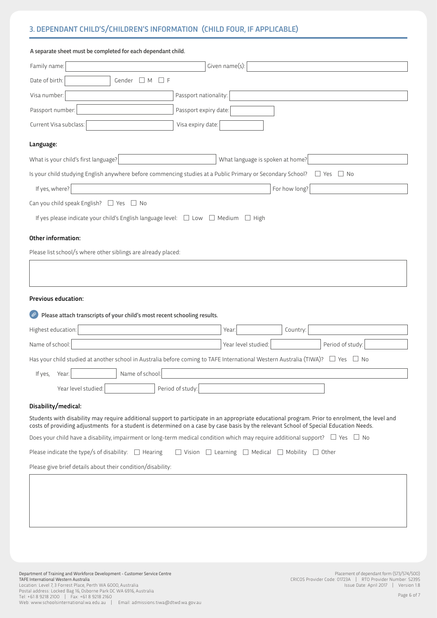## 3. DEPENDANT CHILD'S/CHILDREN'S INFORMATION (CHILD FOUR, IF APPLICABLE)

| A separate sheet must be completed for each dependant child.                                                                                                                                                                                                                             |                                                                           |                         |
|------------------------------------------------------------------------------------------------------------------------------------------------------------------------------------------------------------------------------------------------------------------------------------------|---------------------------------------------------------------------------|-------------------------|
| Family name:                                                                                                                                                                                                                                                                             | Given name(s):                                                            |                         |
| Date of birth:<br>$\Box$ F<br>Gender $\Box$ M                                                                                                                                                                                                                                            |                                                                           |                         |
| Passport nationality:<br>Visa number:                                                                                                                                                                                                                                                    |                                                                           |                         |
| Passport number:<br>Passport expiry date:                                                                                                                                                                                                                                                |                                                                           |                         |
| Current Visa subclass:<br>Visa expiry date:                                                                                                                                                                                                                                              |                                                                           |                         |
| Language:                                                                                                                                                                                                                                                                                |                                                                           |                         |
| What is your child's first language?                                                                                                                                                                                                                                                     | What language is spoken at home?                                          |                         |
| Is your child studying English anywhere before commencing studies at a Public Primary or Secondary School?                                                                                                                                                                               |                                                                           | $\Box$ Yes<br>$\Box$ No |
| If yes, where?                                                                                                                                                                                                                                                                           | For how long?                                                             |                         |
| Can you child speak English? $\Box$ Yes $\Box$ No                                                                                                                                                                                                                                        |                                                                           |                         |
| If yes please indicate your child's English language level: $\Box$ Low $\Box$ Medium $\Box$ High                                                                                                                                                                                         |                                                                           |                         |
| Other information:                                                                                                                                                                                                                                                                       |                                                                           |                         |
| Please list school/s where other siblings are already placed:                                                                                                                                                                                                                            |                                                                           |                         |
|                                                                                                                                                                                                                                                                                          |                                                                           |                         |
|                                                                                                                                                                                                                                                                                          |                                                                           |                         |
| <b>Previous education:</b>                                                                                                                                                                                                                                                               |                                                                           |                         |
| Please attach transcripts of your child's most recent schooling results.                                                                                                                                                                                                                 |                                                                           |                         |
| Highest education:                                                                                                                                                                                                                                                                       | Country:<br>Year:                                                         |                         |
| Name of school:                                                                                                                                                                                                                                                                          | Year level studied:                                                       | Period of study:        |
| Has your child studied at another school in Australia before coming to TAFE International Western Australia (TIWA)? $\Box$ Yes                                                                                                                                                           |                                                                           | $\Box$ No               |
| If yes, Year:<br>Name of school:                                                                                                                                                                                                                                                         |                                                                           |                         |
| Period of study:<br>Year level studied:                                                                                                                                                                                                                                                  |                                                                           |                         |
| Disability/medical:                                                                                                                                                                                                                                                                      |                                                                           |                         |
| Students with disability may require additional support to participate in an appropriate educational program. Prior to enrolment, the level and<br>costs of providing adjustments for a student is determined on a case by case basis by the relevant School of Special Education Needs. |                                                                           |                         |
| Does your child have a disability, impairment or long-term medical condition which may require additional support? $\Box$ Yes $\Box$ No                                                                                                                                                  |                                                                           |                         |
| Please indicate the type/s of disability: $\Box$ Hearing                                                                                                                                                                                                                                 | $\Box$ Vision $\Box$ Learning $\Box$ Medical $\Box$ Mobility $\Box$ Other |                         |

in the contract of the contract of the contract of the contract of the contract of the contract of the contract of

in the contract of the contract of the contract of the contract of the contract of the contract of the contract of

in the contract of the contract of the contract of the contract of the contract of the contract of the contract of

Please give brief details about their condition/disability: